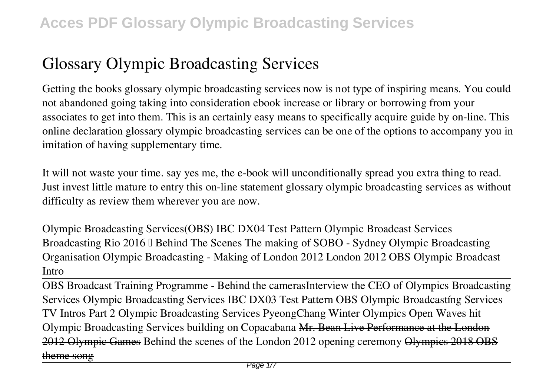# **Glossary Olympic Broadcasting Services**

Getting the books **glossary olympic broadcasting services** now is not type of inspiring means. You could not abandoned going taking into consideration ebook increase or library or borrowing from your associates to get into them. This is an certainly easy means to specifically acquire guide by on-line. This online declaration glossary olympic broadcasting services can be one of the options to accompany you in imitation of having supplementary time.

It will not waste your time. say yes me, the e-book will unconditionally spread you extra thing to read. Just invest little mature to entry this on-line statement **glossary olympic broadcasting services** as without difficulty as review them wherever you are now.

**Olympic Broadcasting Services(OBS) IBC DX04 Test Pattern** *Olympic Broadcast Services Broadcasting Rio 2016 – Behind The Scenes The making of SOBO - Sydney Olympic Broadcasting Organisation Olympic Broadcasting - Making of London 2012 London 2012 OBS Olympic Broadcast Intro*

OBS Broadcast Training Programme - Behind the cameras*Interview the CEO of Olympics Broadcasting Services* **Olympic Broadcasting Services IBC DX03 Test Pattern** OBS Olympic Broadcastíng Services TV Intros Part 2 *Olympic Broadcasting Services PyeongChang Winter Olympics Open* **Waves hit Olympic Broadcasting Services building on Copacabana** Mr. Bean Live Performance at the London 2012 Olympic Games **Behind the scenes of the London 2012 opening ceremony** Olympics 2018 OBS theme song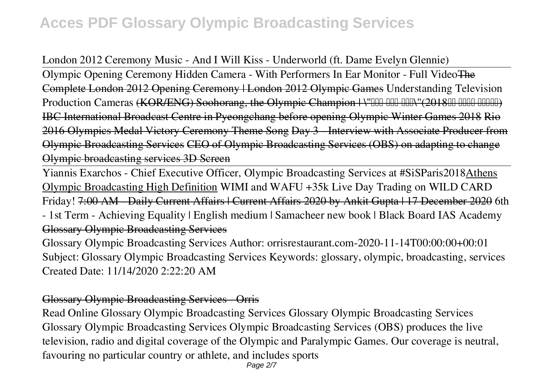## London 2012 Ceremony Music - And I Will Kiss - Underworld (ft. Dame Evelyn Glennie)

Olympic Opening Ceremony Hidden Camera - With Performers In Ear Monitor - Full VideoThe Complete London 2012 Opening Ceremony | London 2012 Olympic Games **Understanding Television** Production Cameras (KOR/ENG) Soohorang, the Olympic Champion | \"HH HH HHN"(2018HH HHHH) IBC International Broadcast Centre in Pyeongchang before opening Olympic Winter Games 2018 Rio 2016 Olympics Medal Victory Ceremony Theme Song Day 3 - Interview with Associate Producer from Olympic Broadcasting Services CEO of Olympic Broadcasting Services (OBS) on adapting to change Olympic broadcasting services 3D Screen

Yiannis Exarchos - Chief Executive Officer, Olympic Broadcasting Services at #SiSParis2018Athens Olympic Broadcasting High Definition *WIMI and WAFU +35k Live Day Trading on WILD CARD Friday!* 7:00 AM - Daily Current Affairs | Current Affairs 2020 by Ankit Gupta | 17 December 2020 *6th - 1st Term - Achieving Equality | English medium | Samacheer new book | Black Board IAS Academy* Glossary Olympic Broadcasting Services

Glossary Olympic Broadcasting Services Author: orrisrestaurant.com-2020-11-14T00:00:00+00:01 Subject: Glossary Olympic Broadcasting Services Keywords: glossary, olympic, broadcasting, services Created Date: 11/14/2020 2:22:20 AM

## Glossary Olympic Broadcasting Services - Orris

Read Online Glossary Olympic Broadcasting Services Glossary Olympic Broadcasting Services Glossary Olympic Broadcasting Services Olympic Broadcasting Services (OBS) produces the live television, radio and digital coverage of the Olympic and Paralympic Games. Our coverage is neutral, favouring no particular country or athlete, and includes sports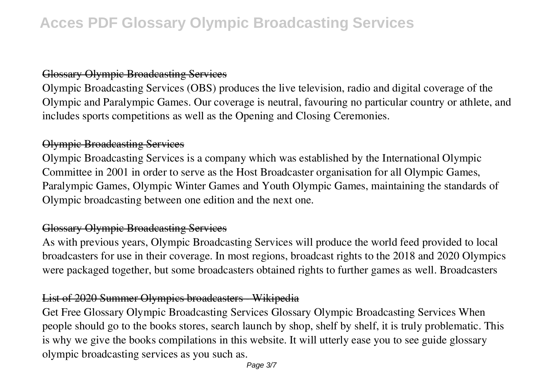### Glossary Olympic Broadcasting Services

Olympic Broadcasting Services (OBS) produces the live television, radio and digital coverage of the Olympic and Paralympic Games. Our coverage is neutral, favouring no particular country or athlete, and includes sports competitions as well as the Opening and Closing Ceremonies.

### Olympic Broadcasting Services

Olympic Broadcasting Services is a company which was established by the International Olympic Committee in 2001 in order to serve as the Host Broadcaster organisation for all Olympic Games, Paralympic Games, Olympic Winter Games and Youth Olympic Games, maintaining the standards of Olympic broadcasting between one edition and the next one.

## Glossary Olympic Broadcasting Services

As with previous years, Olympic Broadcasting Services will produce the world feed provided to local broadcasters for use in their coverage. In most regions, broadcast rights to the 2018 and 2020 Olympics were packaged together, but some broadcasters obtained rights to further games as well. Broadcasters

## List of 2020 Summer Olympics broadcasters - Wikipedia

Get Free Glossary Olympic Broadcasting Services Glossary Olympic Broadcasting Services When people should go to the books stores, search launch by shop, shelf by shelf, it is truly problematic. This is why we give the books compilations in this website. It will utterly ease you to see guide glossary olympic broadcasting services as you such as.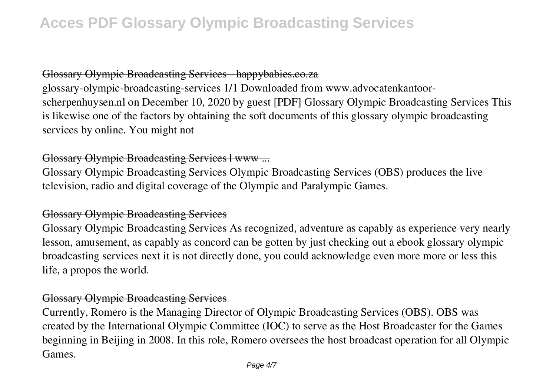## Glossary Olympic Broadcasting Services happybabies.co.za

glossary-olympic-broadcasting-services 1/1 Downloaded from www.advocatenkantoorscherpenhuysen.nl on December 10, 2020 by guest [PDF] Glossary Olympic Broadcasting Services This is likewise one of the factors by obtaining the soft documents of this glossary olympic broadcasting services by online. You might not

### Glossary Olympic Broadcasting Services | www ...

Glossary Olympic Broadcasting Services Olympic Broadcasting Services (OBS) produces the live television, radio and digital coverage of the Olympic and Paralympic Games.

### Glossary Olympic Broadcasting Services

Glossary Olympic Broadcasting Services As recognized, adventure as capably as experience very nearly lesson, amusement, as capably as concord can be gotten by just checking out a ebook glossary olympic broadcasting services next it is not directly done, you could acknowledge even more more or less this life, a propos the world.

### Glossary Olympic Broadcasting Services

Currently, Romero is the Managing Director of Olympic Broadcasting Services (OBS). OBS was created by the International Olympic Committee (IOC) to serve as the Host Broadcaster for the Games beginning in Beijing in 2008. In this role, Romero oversees the host broadcast operation for all Olympic Games.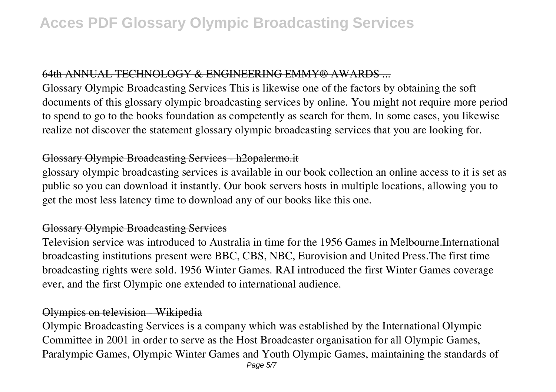#### 64th ANNUAL TECHNOLOGY & ENGINEERING EMMY® AWARDS.

Glossary Olympic Broadcasting Services This is likewise one of the factors by obtaining the soft documents of this glossary olympic broadcasting services by online. You might not require more period to spend to go to the books foundation as competently as search for them. In some cases, you likewise realize not discover the statement glossary olympic broadcasting services that you are looking for.

### Glossary Olympic Broadcasting Services - h2opalermo.it

glossary olympic broadcasting services is available in our book collection an online access to it is set as public so you can download it instantly. Our book servers hosts in multiple locations, allowing you to get the most less latency time to download any of our books like this one.

### Glossary Olympic Broadcasting Services

Television service was introduced to Australia in time for the 1956 Games in Melbourne.International broadcasting institutions present were BBC, CBS, NBC, Eurovision and United Press.The first time broadcasting rights were sold. 1956 Winter Games. RAI introduced the first Winter Games coverage ever, and the first Olympic one extended to international audience.

### Olympics on television - Wikipedia

Olympic Broadcasting Services is a company which was established by the International Olympic Committee in 2001 in order to serve as the Host Broadcaster organisation for all Olympic Games, Paralympic Games, Olympic Winter Games and Youth Olympic Games, maintaining the standards of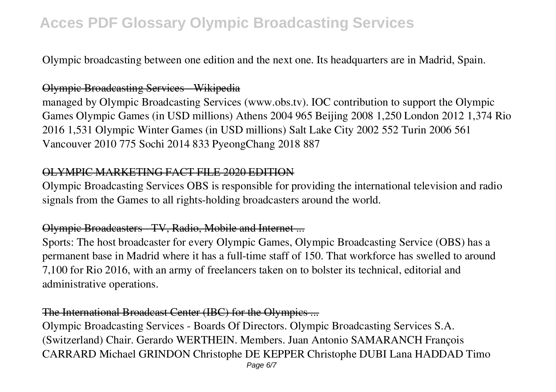Olympic broadcasting between one edition and the next one. Its headquarters are in Madrid, Spain.

### Olympic Broadcasting Services - Wikipedia

managed by Olympic Broadcasting Services (www.obs.tv). IOC contribution to support the Olympic Games Olympic Games (in USD millions) Athens 2004 965 Beijing 2008 1,250 London 2012 1,374 Rio 2016 1,531 Olympic Winter Games (in USD millions) Salt Lake City 2002 552 Turin 2006 561 Vancouver 2010 775 Sochi 2014 833 PyeongChang 2018 887

#### OLYMPIC MARKETING FACT FILE 2020 EDITION

Olympic Broadcasting Services OBS is responsible for providing the international television and radio signals from the Games to all rights-holding broadcasters around the world.

### Olympic Broadcasters - TV, Radio, Mobile and Internet ...

Sports: The host broadcaster for every Olympic Games, Olympic Broadcasting Service (OBS) has a permanent base in Madrid where it has a full-time staff of 150. That workforce has swelled to around 7,100 for Rio 2016, with an army of freelancers taken on to bolster its technical, editorial and administrative operations.

#### The International Broadcast Center (IBC) for the Olympics ...

Olympic Broadcasting Services - Boards Of Directors. Olympic Broadcasting Services S.A. (Switzerland) Chair. Gerardo WERTHEIN. Members. Juan Antonio SAMARANCH François CARRARD Michael GRINDON Christophe DE KEPPER Christophe DUBI Lana HADDAD Timo